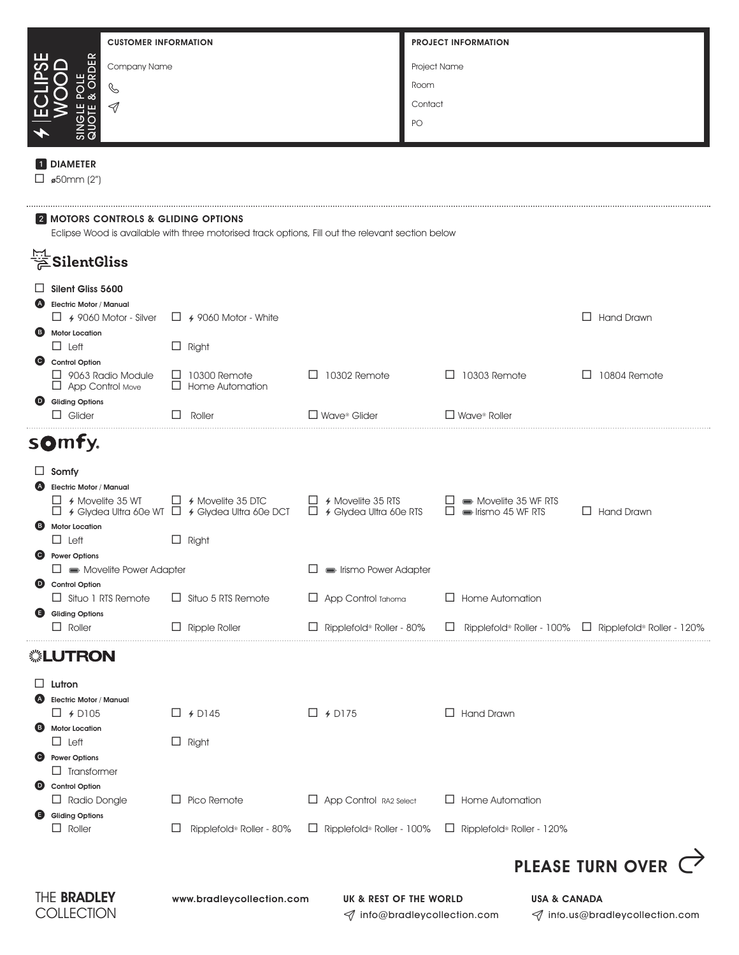| <b>CUSTOMER INFORMATION</b>                                                                                                                         |                                                                                          |                                              | <b>PROJECT INFORMATION</b>                              |                                                                        |  |  |  |
|-----------------------------------------------------------------------------------------------------------------------------------------------------|------------------------------------------------------------------------------------------|----------------------------------------------|---------------------------------------------------------|------------------------------------------------------------------------|--|--|--|
| <b>RDER</b><br>Company Name                                                                                                                         |                                                                                          |                                              | Project Name                                            |                                                                        |  |  |  |
| Ç                                                                                                                                                   |                                                                                          |                                              | Room                                                    |                                                                        |  |  |  |
| 9                                                                                                                                                   |                                                                                          |                                              | Contact                                                 |                                                                        |  |  |  |
|                                                                                                                                                     |                                                                                          |                                              | PO                                                      |                                                                        |  |  |  |
|                                                                                                                                                     |                                                                                          |                                              |                                                         |                                                                        |  |  |  |
| <b>DIAMETER</b><br>$\Box$ ø50mm (2")                                                                                                                |                                                                                          |                                              |                                                         |                                                                        |  |  |  |
| <b>2 MOTORS CONTROLS &amp; GLIDING OPTIONS</b><br>Eclipse Wood is available with three motorised track options, Fill out the relevant section below |                                                                                          |                                              |                                                         |                                                                        |  |  |  |
| SilentGliss                                                                                                                                         |                                                                                          |                                              |                                                         |                                                                        |  |  |  |
| Silent Gliss 5600<br>Ħ                                                                                                                              |                                                                                          |                                              |                                                         |                                                                        |  |  |  |
| Electric Motor / Manual<br>$\Box$ 4 9060 Motor - Silver                                                                                             | $\Box$ 4 9060 Motor - White                                                              |                                              |                                                         | $\Box$ Hand Drawn                                                      |  |  |  |
| <b>B</b> Motor Location<br>$\Box$ Left                                                                                                              | $\Box$ Right                                                                             |                                              |                                                         |                                                                        |  |  |  |
| Control Option<br>$\Box$ 9063 Radio Module                                                                                                          | $\Box$ 10300 Remote                                                                      | $\Box$ 10302 Remote                          | $\Box$ 10303 Remote                                     | 10804 Remote<br>⊔                                                      |  |  |  |
| $\Box$ App Control Move<br>Gliding Options                                                                                                          | $\Box$ Home Automation                                                                   |                                              |                                                         |                                                                        |  |  |  |
| $\Box$ Glider                                                                                                                                       | Roller                                                                                   | $\Box$ Wave® Glider                          | $\square$ Wave <sup>®</sup> Roller                      |                                                                        |  |  |  |
| somfy.                                                                                                                                              |                                                                                          |                                              |                                                         |                                                                        |  |  |  |
| ப<br>Somfy                                                                                                                                          |                                                                                          |                                              |                                                         |                                                                        |  |  |  |
| <b>Electric Motor / Manual</b><br>$\Box$ 4 Movelite 35 WT                                                                                           | $\Box$ 4 Movelite 35 DTC                                                                 | $\Box$ 4 Movelite 35 RTS                     | Movelite 35 WF RTS                                      |                                                                        |  |  |  |
| 8<br><b>Motor Location</b>                                                                                                                          | $\Box$ 4 Glydea Ultra 60e WT $\Box$ 4 Glydea Ultra 60e DCT $\Box$ 4 Glydea Ultra 60e RTS |                                              | $\Box$ $\blacksquare$ Irismo 45 WF RTS                  | $\Box$ Hand Drawn                                                      |  |  |  |
| $\Box$ Left<br>$\bullet$<br><b>Power Options</b>                                                                                                    | $\Box$ Right                                                                             |                                              |                                                         |                                                                        |  |  |  |
| $\Box \equiv$ Movelite Power Adapter                                                                                                                |                                                                                          | lismo Power Adapter                          |                                                         |                                                                        |  |  |  |
| Control Option<br>$\Box$ Situo 1 RTS Remote                                                                                                         | $\Box$ Situo 5 RTS Remote                                                                | $\Box$ App Control Tahoma                    | $\Box$ Home Automation                                  |                                                                        |  |  |  |
| Gliding Options<br>$\Box$ Roller                                                                                                                    | $\Box$ Ripple Roller                                                                     | Ripplefold® Roller - 80%<br>ப                |                                                         | Ripplefold <sup>®</sup> Roller - 100% $\Box$ Ripplefold® Roller - 120% |  |  |  |
| ▒LUTRON                                                                                                                                             |                                                                                          |                                              |                                                         |                                                                        |  |  |  |
| ⊔                                                                                                                                                   |                                                                                          |                                              |                                                         |                                                                        |  |  |  |
| Lutron<br><b>Electric Motor / Manual</b>                                                                                                            |                                                                                          |                                              |                                                         |                                                                        |  |  |  |
| $\Box$ + D105<br><b>Motor Location</b><br><b>B</b>                                                                                                  | $\sqcup$ 4 D145                                                                          | $\Box$ 4 D175                                | $\Box$ Hand Drawn                                       |                                                                        |  |  |  |
| $\Box$ Left<br><b>O</b> Power Options                                                                                                               | $\Box$ Right                                                                             |                                              |                                                         |                                                                        |  |  |  |
| $\Box$ Transformer                                                                                                                                  |                                                                                          |                                              |                                                         |                                                                        |  |  |  |
| Control Option<br>$\Box$ Radio Dongle                                                                                                               | $\Box$ Pico Remote                                                                       | App Control RA2 Select                       | $\Box$ Home Automation                                  |                                                                        |  |  |  |
| Gliding Options<br>$\Box$ Roller                                                                                                                    | Ripplefold® Roller - 80%<br>ப                                                            | $\Box$ Ripplefold <sup>®</sup> Roller - 100% | $\Box$ Ripplefold® Roller - 120%                        |                                                                        |  |  |  |
|                                                                                                                                                     |                                                                                          |                                              |                                                         |                                                                        |  |  |  |
|                                                                                                                                                     |                                                                                          |                                              |                                                         | PLEASE TURN OVER                                                       |  |  |  |
| THE <b>BRADLEY</b><br>COLLECTION                                                                                                                    | www.bradleycollection.com                                                                | UK & REST OF THE WORLD                       | <b>USA &amp; CANADA</b><br>√ info@bradleycollection.com | √ info.us@bradleycollection.com                                        |  |  |  |